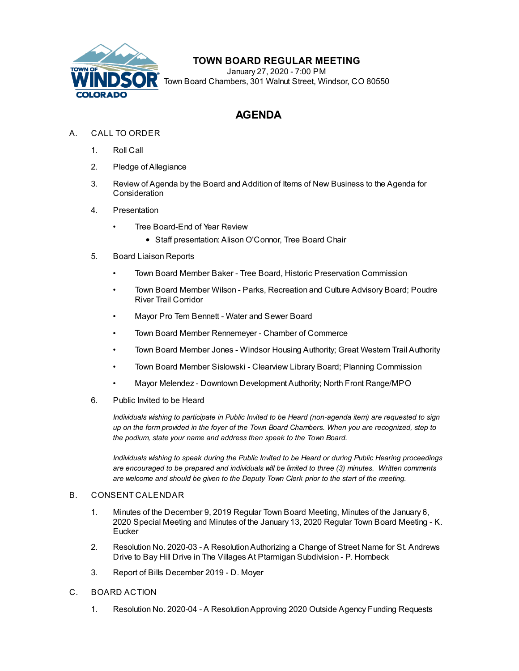

## **TOWN BOARD REGULAR MEETING**

January 27, 2020 - 7:00 PM Town Board Chambers, 301 Walnut Street, Windsor, CO 80550

## **AGENDA**

- A. CALL TO ORDER
	- 1. Roll Call
	- 2. Pledge of Allegiance
	- 3. Review of Agenda by the Board and Addition of Items of New Business to the Agenda for Consideration
	- 4. Presentation
		- Tree Board-End of Year Review
			- Staff presentation: Alison O'Connor, Tree Board Chair
	- 5. Board Liaison Reports
		- Town Board Member Baker Tree Board, Historic Preservation Commission
		- Town Board Member Wilson Parks, Recreation and Culture Advisory Board; Poudre River Trail Corridor
		- Mayor Pro Tem Bennett Water and Sewer Board
		- Town Board Member Rennemeyer Chamber of Commerce
		- Town Board Member Jones Windsor Housing Authority; Great Western Trail Authority
		- Town Board Member Sislowski Clearview Library Board; Planning Commission
		- Mayor Melendez Downtown Development Authority; North Front Range/MPO
	- 6. Public Invited to be Heard

*Individuals wishing to participate in Public Invited to be Heard (non-agenda item) are requested to sign* up on the form provided in the foyer of the Town Board Chambers. When you are recognized, step to *the podium, state your name and address then speak to the Town Board.*

*Individuals wishing to speak during the Public Invited to be Heard or during Public Hearing proceedings are encouraged to be prepared and individuals will be limited to three (3) minutes. Written comments are welcome and should be given to the Deputy Town Clerk prior to the start of the meeting.*

## B. CONSENT CALENDAR

- 1. Minutes of the [December](file:///C:/Windows/TEMP/CoverSheet.aspx?ItemID=712&MeetingID=132) 9, 2019 Regular Town Board Meeting, Minutes of the January 6, 2020 Special Meeting and Minutes of the January 13, 2020 Regular Town Board Meeting - K. **Eucker**
- 2. Resolution No. 2020-03 A [ResolutionAuthorizing](file:///C:/Windows/TEMP/CoverSheet.aspx?ItemID=713&MeetingID=132) a Change of Street Name for St. Andrews Drive to Bay Hill Drive in The Villages At Ptarmigan Subdivision - P. Hornbeck
- 3. Report of Bills [December](file:///C:/Windows/TEMP/CoverSheet.aspx?ItemID=717&MeetingID=132) 2019 D. Moyer
- C. BOARD ACTION
	- 1. Resolution No. 2020-04 A [ResolutionApproving](file:///C:/Windows/TEMP/CoverSheet.aspx?ItemID=695&MeetingID=132) 2020 Outside Agency Funding Requests